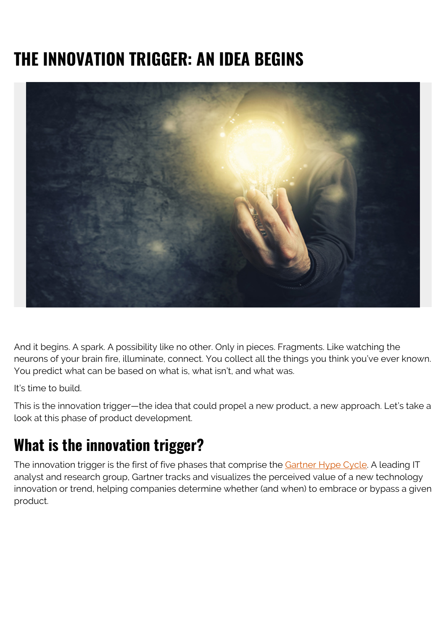# **THE INNOVATION TRIGGER: AN IDEA BEGINS**



And it begins. A spark. A possibility like no other. Only in pieces. Fragments. Like watching the neurons of your brain fire, illuminate, connect. You collect all the things you think you've ever known. You predict what can be based on what is, what isn't, and what was.

It's time to build.

This is the innovation trigger—the idea that could propel a new product, a new approach. Let's take a look at this phase of product development.

#### **What is the innovation trigger?**

The innovation trigger is the first of five phases that comprise the [Gartner Hype Cycle.](https://blogs.bmc.com/blogs/gartner-hype-cycle/) A leading IT analyst and research group, Gartner tracks and visualizes the perceived value of a new technology innovation or trend, helping companies determine whether (and when) to embrace or bypass a given product.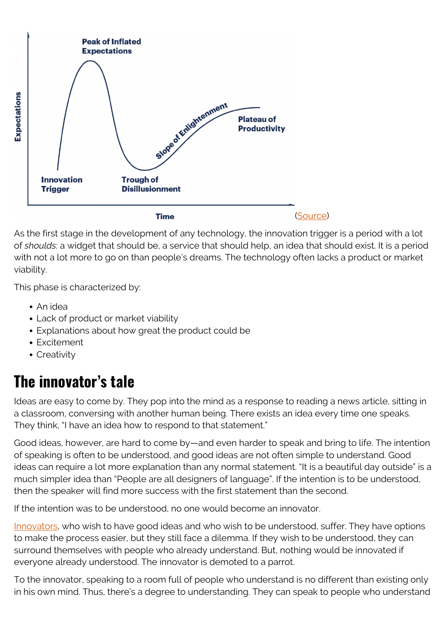

As the first stage in the development of any technology, the innovation trigger is a period with a lot of *shoulds*: a widget that should be, a service that should help, an idea that should exist. It is a period with not a lot more to go on than people's dreams. The technology often lacks a product or market viability.

This phase is characterized by:

- An idea
- Lack of product or market viability
- Explanations about how great the product could be
- Excitement
- Creativity

### **The innovator's tale**

Ideas are easy to come by. They pop into the mind as a response to reading a news article, sitting in a classroom, conversing with another human being. There exists an idea every time one speaks. They think, "I have an idea how to respond to that statement."

Good ideas, however, are hard to come by—and even harder to speak and bring to life. The intention of speaking is often to be understood, and good ideas are not often simple to understand. Good ideas can require a lot more explanation than any normal statement. "It is a beautiful day outside" is a much simpler idea than "People are all designers of language". If the intention is to be understood, then the speaker will find more success with the first statement than the second.

If the intention was to be understood, no one would become an innovator.

[Innovators](https://blogs.bmc.com/blogs/innovation-introduction-basics/), who wish to have good ideas and who wish to be understood, suffer. They have options to make the process easier, but they still face a dilemma. If they wish to be understood, they can surround themselves with people who already understand. But, nothing would be innovated if everyone already understood. The innovator is demoted to a parrot.

To the innovator, speaking to a room full of people who understand is no different than existing only in his own mind. Thus, there's a degree to understanding. They can speak to people who understand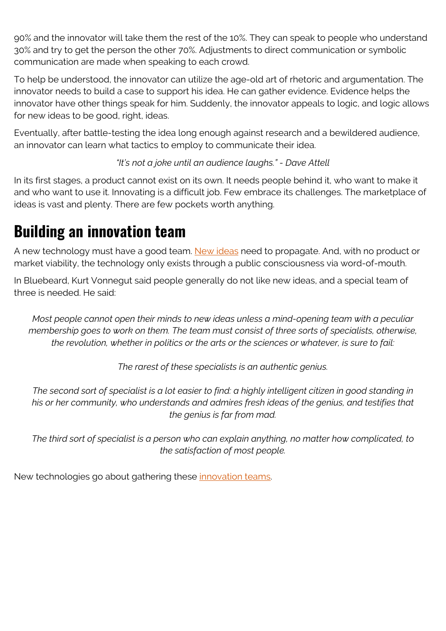90% and the innovator will take them the rest of the 10%. They can speak to people who understand 30% and try to get the person the other 70%. Adjustments to direct communication or symbolic communication are made when speaking to each crowd.

To help be understood, the innovator can utilize the age-old art of rhetoric and argumentation. The innovator needs to build a case to support his idea. He can gather evidence. Evidence helps the innovator have other things speak for him. Suddenly, the innovator appeals to logic, and logic allows for new ideas to be good, right, ideas.

Eventually, after battle-testing the idea long enough against research and a bewildered audience, an innovator can learn what tactics to employ to communicate their idea.

*"It's not a joke until an audience laughs." - Dave Attell*

In its first stages, a product cannot exist on its own. It needs people behind it, who want to make it and who want to use it. Innovating is a difficult job. Few embrace its challenges. The marketplace of ideas is vast and plenty. There are few pockets worth anything.

### **Building an innovation team**

A new technology must have a good team. [New ideas](https://blogs.bmc.com/blogs/disruptive-innovation/) need to propagate. And, with no product or market viability, the technology only exists through a public consciousness via word-of-mouth.

In Bluebeard, Kurt Vonnegut said people generally do not like new ideas, and a special team of three is needed. He said:

*Most people cannot open their minds to new ideas unless a mind-opening team with a peculiar membership goes to work on them. The team must consist of three sorts of specialists, otherwise, the revolution, whether in politics or the arts or the sciences or whatever, is sure to fail:*

*The rarest of these specialists is an authentic genius.*

*The second sort of specialist is a lot easier to find: a highly intelligent citizen in good standing in his or her community, who understands and admires fresh ideas of the genius, and testifies that the genius is far from mad.*

*The third sort of specialist is a person who can explain anything, no matter how complicated, to the satisfaction of most people.*

New technologies go about gathering these [innovation teams](https://blogs.bmc.com/blogs/innovation-lab/).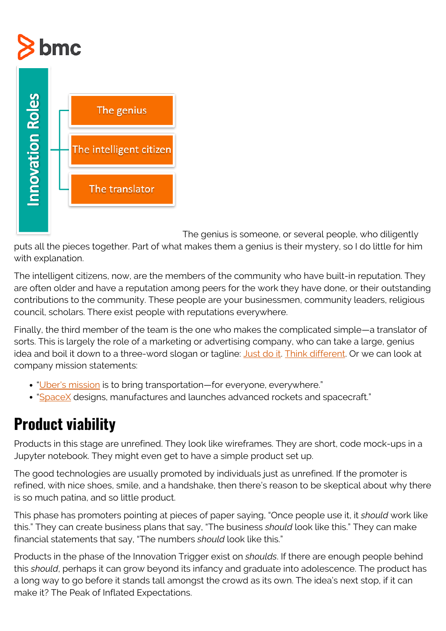# **bmc**



The genius is someone, or several people, who diligently

puts all the pieces together. Part of what makes them a genius is their mystery, so I do little for him with explanation.

The intelligent citizens, now, are the members of the community who have built-in reputation. They are often older and have a reputation among peers for the work they have done, or their outstanding contributions to the community. These people are your businessmen, community leaders, religious council, scholars. There exist people with reputations everywhere.

Finally, the third member of the team is the one who makes the complicated simple—a translator of sorts. This is largely the role of a marketing or advertising company, who can take a large, genius idea and boil it down to a three-word slogan or tagline: *[Just do it.](https://www.creativereview.co.uk/just-do-it-slogan/) Think different*. Or we can look at company mission statements:

- "[Uber's mission](https://www.uber.com/blog/uber-for-business-the-big-picture/) is to bring transportation—for everyone, everywhere."
- "[SpaceX](https://www.spacex.com) designs, manufactures and launches advanced rockets and spacecraft."

### **Product viability**

Products in this stage are unrefined. They look like wireframes. They are short, code mock-ups in a Jupyter notebook. They might even get to have a simple product set up.

The good technologies are usually promoted by individuals just as unrefined. If the promoter is refined, with nice shoes, smile, and a handshake, then there's reason to be skeptical about why there is so much patina, and so little product.

This phase has promoters pointing at pieces of paper saying, "Once people use it, it *should* work like this." They can create business plans that say, "The business *should* look like this." They can make financial statements that say, "The numbers *should* look like this."

Products in the phase of the Innovation Trigger exist on *shoulds*. If there are enough people behind this *should*, perhaps it can grow beyond its infancy and graduate into adolescence. The product has a long way to go before it stands tall amongst the crowd as its own. The idea's next stop, if it can make it? The Peak of Inflated Expectations.